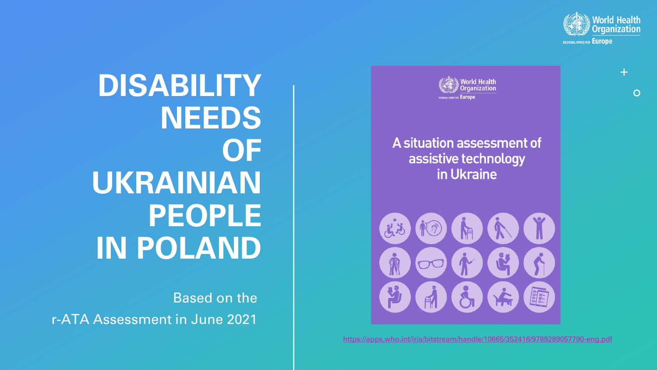



A situation assessment of assistive technology in Ukraine



https://apps.who.int/iris/bitstream/handl

**DISABILITY NEEDS OF UKRAINIAN PEOPLE IN POLAND** 

Based on the r-ATA Assessment in June 2021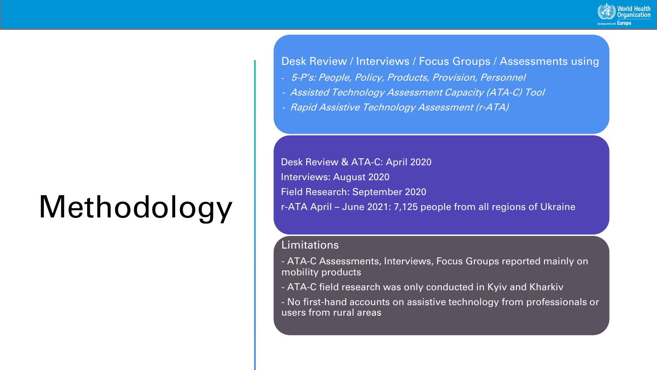## Methodology

Desk Review / Interviews / Focus Groups / Assessments using

- 5-P's: People, Policy, Products, Provision, Personnel
- Assisted Technology Assessment Capacity (ATA-C) Tool
- Rapid Assistive Technology Assessment (r-ATA)

Desk Review & ATA-C: April 2020 Interviews: August 2020 Field Research: September 2020 r-ATA April – June 2021: 7,125 people from all regions of Ukraine

### Limitations

- ATA-C Assessments, Interviews, Focus Groups reported mainly on mobility products
- ATA-C field research was only conducted in Kyiv and Kharkiv
- No first-hand accounts on assistive technology from professionals or users from rural areas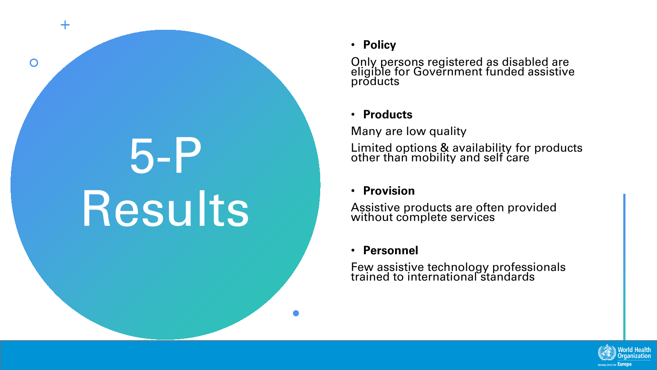# 5-P Results

 $+$ 

 $\overline{O}$ 

### • **Policy**

Only persons registered as disabled are eligible for Government funded assistive products

### • **Products**

Many are low quality

Limited options & availability for products other than mobility and self care

### • **Provision**

Assistive products are often provided without complete services

### • **Personnel**

Few assistive technology professionals trained to international standards

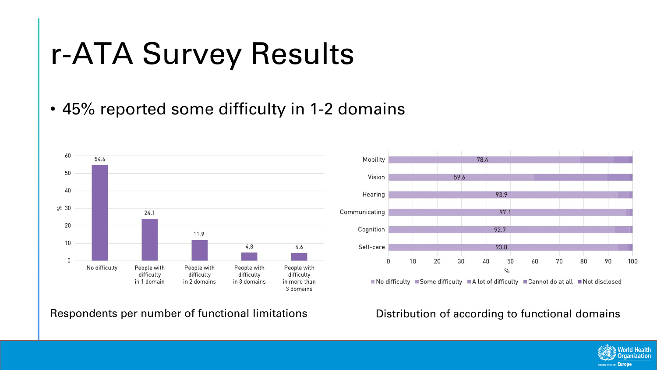## r-ATA Survey Results

• 45% reported some difficulty in 1-2 domains



Respondents per number of functional limitations Distribution of according to functional domains



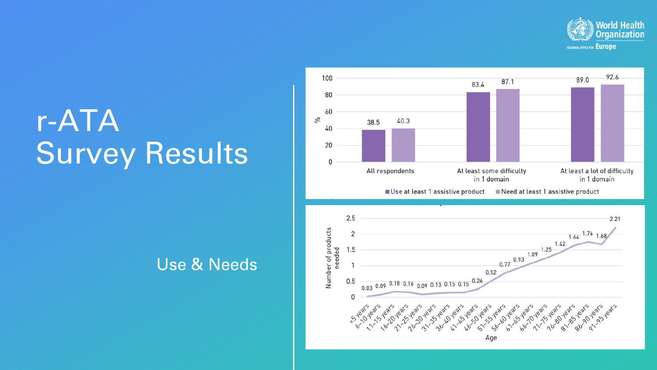

## r-ATA Survey Results

## Use & Needs

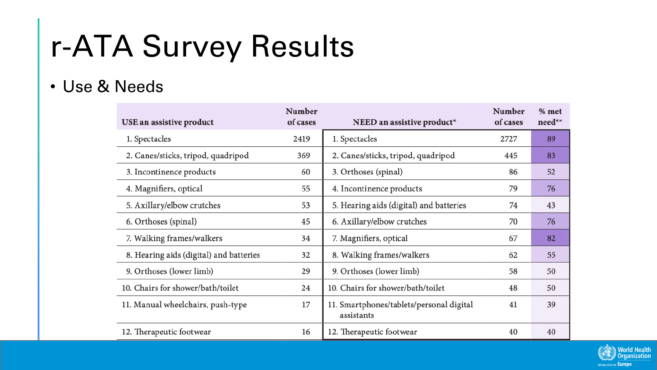## r-ATA Survey Results

## • Use & Needs

| USE an assistive product                | Number<br>of cases | NEED an assistive product*                             | Number<br>of cases | % met<br>need** |
|-----------------------------------------|--------------------|--------------------------------------------------------|--------------------|-----------------|
| 1. Spectacles                           | 2419               | 1. Spectacles                                          | 2727               | 89              |
| 2. Canes/sticks, tripod, quadripod      | 369                | 2. Canes/sticks, tripod, quadripod                     | 445                | 83              |
| 3. Incontinence products                | 60                 | 3. Orthoses (spinal)                                   | 86                 | 52              |
| 4. Magnifiers, optical                  | 55                 | 4. Incontinence products                               | 79                 | 76              |
| 5. Axillary/elbow crutches              | 53                 | 5. Hearing aids (digital) and batteries                | 74                 | 43              |
| 6. Orthoses (spinal)                    | 45                 | 6. Axillary/elbow crutches                             | 70                 | 76              |
| 7. Walking frames/walkers               | 34                 | 7. Magnifiers, optical                                 | 67                 | 82              |
| 8. Hearing aids (digital) and batteries | 32                 | 8. Walking frames/walkers                              | 62                 | 55              |
| 9. Orthoses (lower limb)                | 29                 | 9. Orthoses (lower limb)                               | 58                 | 50              |
| 10. Chairs for shower/bath/toilet       | 24                 | 10. Chairs for shower/bath/toilet                      | 48                 | 50              |
| 11. Manual wheelchairs, push-type       | 17                 | 11. Smartphones/tablets/personal digital<br>assistants | 41                 | 39              |
| 12. Therapeutic footwear                | 16                 | 12. Therapeutic footwear                               | 40                 | 40              |

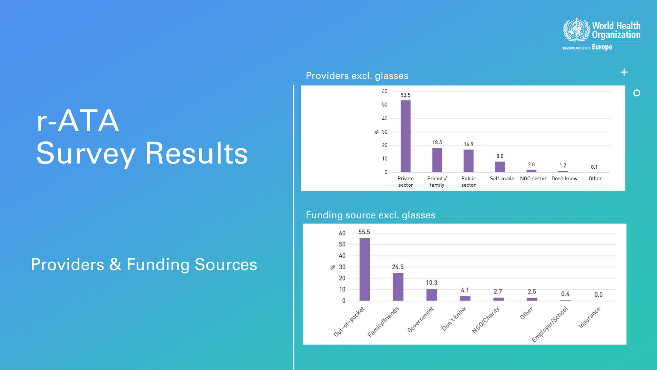

 $\overline{O}$ 

### 60 53.5 50 40  $8830$ 18.3 16.9 20  $8.0$ 10  $2.0$  $1.2$  $0.1$  $\Omega$ Self-made Private Friends/ Public NGO sector Don't know Other sector family sector

### Providers excl. glasses

## r-ATA Survey Results

### Funding source excl. glasses



## Providers & Funding Sources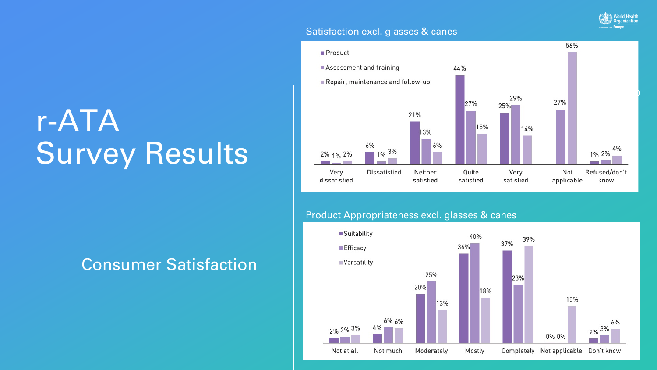### Satisfaction excl. glasses & canes



**World Health Organization OFFICE FOR Europe** 

## r-ATA Survey Results

## Consumer Satisfaction

### Product Appropriateness excl. glasses & canes

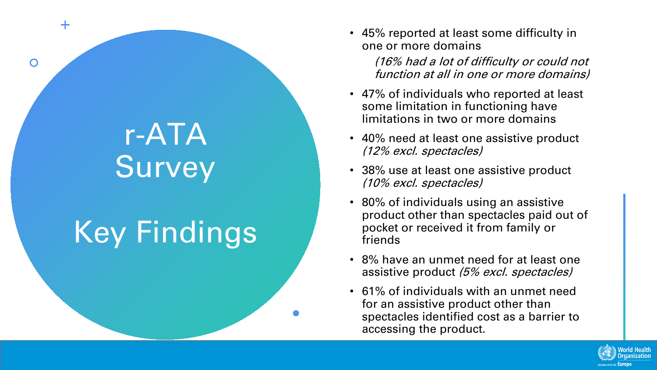## r-ATA Survey

 $+$ 

 $\overline{O}$ 

## Key Findings

• 45% reported at least some difficulty in one or more domains

> (16% had a lot of difficulty or could not function at all in one or more domains)

- 47% of individuals who reported at least some limitation in functioning have limitations in two or more domains
- 40% need at least one assistive product (12% excl. spectacles)
- 38% use at least one assistive product (10% excl. spectacles)
- 80% of individuals using an assistive product other than spectacles paid out of pocket or received it from family or friends
- 8% have an unmet need for at least one assistive product (5% excl. spectacles)
- 61% of individuals with an unmet need for an assistive product other than spectacles identified cost as a barrier to accessing the product.